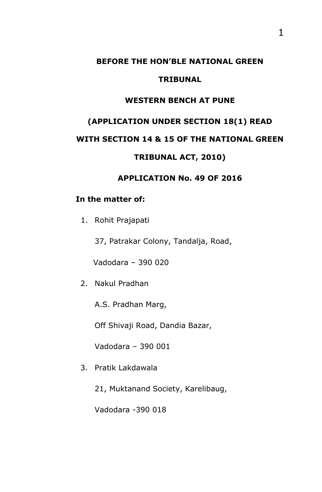#### **BEFORE THE HON'BLE NATIONAL GREEN**

#### **TRIBUNAL**

#### **WESTERN BENCH AT PUNE**

# **(APPLICATION UNDER SECTION 18(1) READ**

## **WITH SECTION 14 & 15 OF THE NATIONAL GREEN**

## **TRIBUNAL ACT, 2010)**

#### **APPLICATION No. 49 OF 2016**

## **In the matter of:**

1. Rohit Prajapati

37, Patrakar Colony, Tandalja, Road,

Vadodara – 390 020

2. Nakul Pradhan

A.S. Pradhan Marg,

Off Shivaji Road, Dandia Bazar,

Vadodara – 390 001

- 3. Pratik Lakdawala
	- 21, Muktanand Society, Karelibaug,

Vadodara -390 018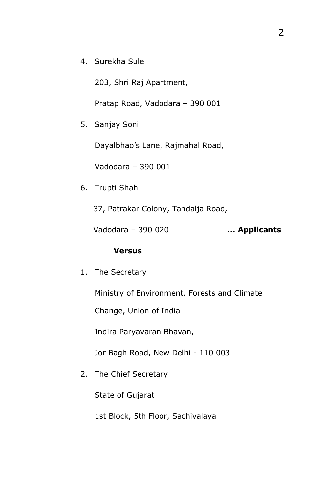4. Surekha Sule

203, Shri Raj Apartment,

Pratap Road, Vadodara – 390 001

5. Sanjay Soni

Dayalbhao's Lane, Rajmahal Road,

Vadodara – 390 001

6. Trupti Shah

37, Patrakar Colony, Tandalja Road,

Vadodara – 390 020 **... Applicants**

## **Versus**

1. The Secretary

Ministry of Environment, Forests and Climate

Change, Union of India

Indira Paryavaran Bhavan,

Jor Bagh Road, New Delhi - 110 003

2. The Chief Secretary

State of Gujarat

1st Block, 5th Floor, Sachivalaya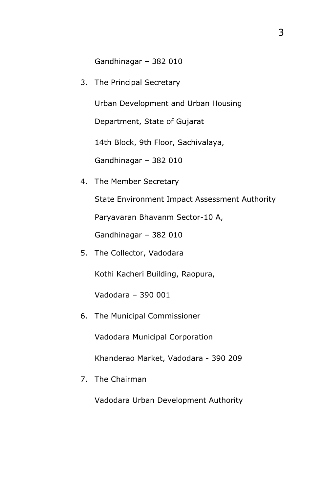Gandhinagar – 382 010

3. The Principal Secretary

Urban Development and Urban Housing

Department, State of Gujarat

14th Block, 9th Floor, Sachivalaya,

Gandhinagar – 382 010

4. The Member Secretary

State Environment Impact Assessment Authority

Paryavaran Bhavanm Sector-10 A,

Gandhinagar – 382 010

5. The Collector, Vadodara

Kothi Kacheri Building, Raopura,

Vadodara – 390 001

6. The Municipal Commissioner

Vadodara Municipal Corporation

Khanderao Market, Vadodara - 390 209

7. The Chairman

Vadodara Urban Development Authority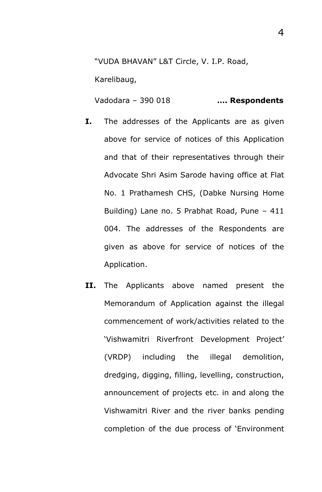"VUDA BHAVAN" L&T Circle, V. I.P. Road,

Karelibaug,

Vadodara – 390 018 **…. Respondents**

- **I.** The addresses of the Applicants are as given above for service of notices of this Application and that of their representatives through their Advocate Shri Asim Sarode having office at Flat No. 1 Prathamesh CHS, (Dabke Nursing Home Building) Lane no. 5 Prabhat Road, Pune – 411 004. The addresses of the Respondents are given as above for service of notices of the Application.
- **II.** The Applicants above named present the Memorandum of Application against the illegal commencement of work/activities related to the 'Vishwamitri Riverfront Development Project' (VRDP) including the illegal demolition, dredging, digging, filling, levelling, construction, announcement of projects etc. in and along the Vishwamitri River and the river banks pending completion of the due process of 'Environment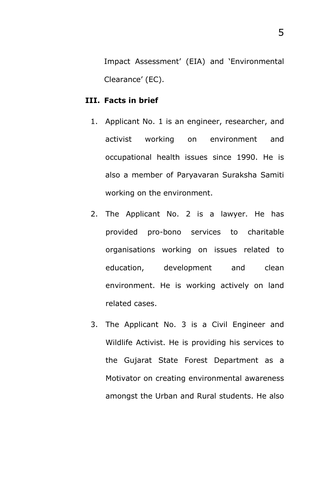Impact Assessment' (EIA) and 'Environmental Clearance' (EC).

#### **III. Facts in brief**

- 1. Applicant No. 1 is an engineer, researcher, and activist working on environment and occupational health issues since 1990. He is also a member of Paryavaran Suraksha Samiti working on the environment.
- 2. The Applicant No. 2 is a lawyer. He has provided pro-bono services to charitable organisations working on issues related to education, development and clean environment. He is working actively on land related cases.
- 3. The Applicant No. 3 is a Civil Engineer and Wildlife Activist. He is providing his services to the Gujarat State Forest Department as a Motivator on creating environmental awareness amongst the Urban and Rural students. He also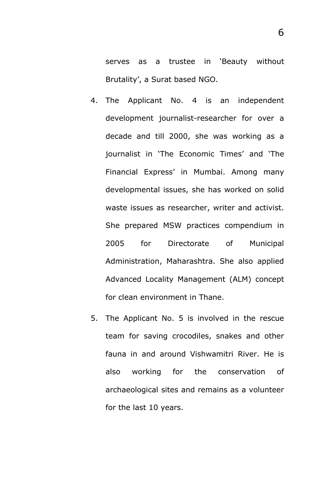serves as a trustee in 'Beauty without Brutality', a Surat based NGO.

- 4. The Applicant No. 4 is an independent development journalist-researcher for over a decade and till 2000, she was working as a journalist in 'The Economic Times' and 'The Financial Express' in Mumbai. Among many developmental issues, she has worked on solid waste issues as researcher, writer and activist. She prepared MSW practices compendium in 2005 for Directorate of Municipal Administration, Maharashtra. She also applied Advanced Locality Management (ALM) concept for clean environment in Thane.
- 5. The Applicant No. 5 is involved in the rescue team for saving crocodiles, snakes and other fauna in and around Vishwamitri River. He is also working for the conservation of archaeological sites and remains as a volunteer for the last 10 years.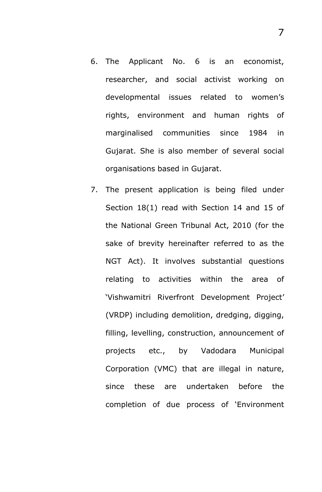- 6. The Applicant No. 6 is an economist, researcher, and social activist working on developmental issues related to women's rights, environment and human rights of marginalised communities since 1984 in Gujarat. She is also member of several social organisations based in Gujarat.
- 7. The present application is being filed under Section 18(1) read with Section 14 and 15 of the National Green Tribunal Act, 2010 (for the sake of brevity hereinafter referred to as the NGT Act). It involves substantial questions relating to activities within the area of 'Vishwamitri Riverfront Development Project' (VRDP) including demolition, dredging, digging, filling, levelling, construction, announcement of projects etc., by Vadodara Municipal Corporation (VMC) that are illegal in nature, since these are undertaken before the completion of due process of 'Environment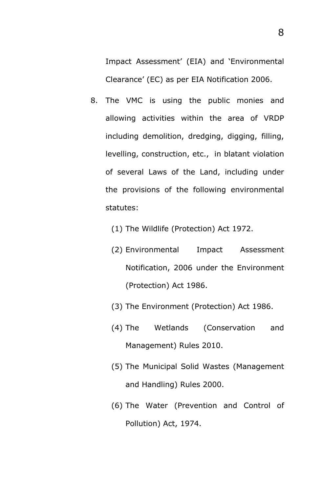Impact Assessment' (EIA) and 'Environmental Clearance' (EC) as per EIA Notification 2006.

- 8. The VMC is using the public monies and allowing activities within the area of VRDP including demolition, dredging, digging, filling, levelling, construction, etc., in blatant violation of several Laws of the Land, including under the provisions of the following environmental statutes:
	- (1) The Wildlife (Protection) Act 1972.
	- (2) Environmental Impact Assessment Notification, 2006 under the Environment (Protection) Act 1986.
	- (3) The Environment (Protection) Act 1986.
	- (4) The Wetlands (Conservation and Management) Rules 2010.
	- (5) The Municipal Solid Wastes (Management and Handling) Rules 2000.
	- (6) The Water (Prevention and Control of Pollution) Act, 1974.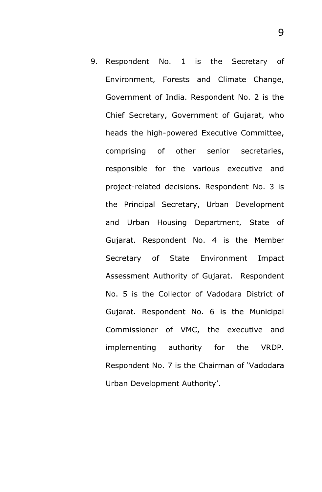9. Respondent No. 1 is the Secretary of Environment, Forests and Climate Change, Government of India. Respondent No. 2 is the Chief Secretary, Government of Gujarat, who heads the high-powered Executive Committee, comprising of other senior secretaries, responsible for the various executive and project-related decisions. Respondent No. 3 is the Principal Secretary, Urban Development and Urban Housing Department, State of Gujarat. Respondent No. 4 is the Member Secretary of State Environment Impact Assessment Authority of Gujarat. Respondent No. 5 is the Collector of Vadodara District of Gujarat. Respondent No. 6 is the Municipal Commissioner of VMC, the executive and implementing authority for the VRDP. Respondent No. 7 is the Chairman of 'Vadodara Urban Development Authority'.

9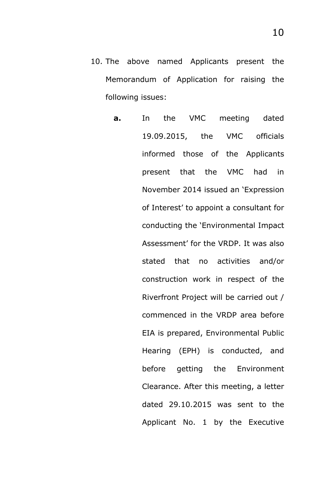- 10. The above named Applicants present the Memorandum of Application for raising the following issues:
	- **a.** In the VMC meeting dated 19.09.2015, the VMC officials informed those of the Applicants present that the VMC had in November 2014 issued an 'Expression of Interest' to appoint a consultant for conducting the 'Environmental Impact Assessment' for the VRDP. It was also stated that no activities and/or construction work in respect of the Riverfront Project will be carried out / commenced in the VRDP area before EIA is prepared, Environmental Public Hearing (EPH) is conducted, and before getting the Environment Clearance. After this meeting, a letter dated 29.10.2015 was sent to the Applicant No. 1 by the Executive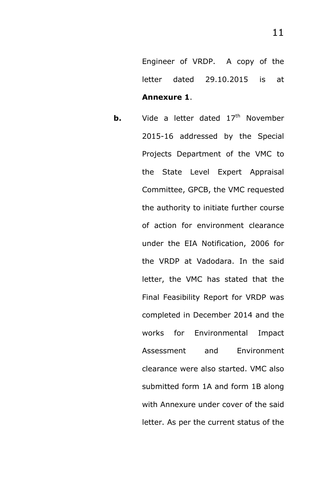Engineer of VRDP. A copy of the letter dated 29.10.2015 is at **Annexure 1**.

**b.** Vide a letter dated 17<sup>th</sup> November 2015-16 addressed by the Special Projects Department of the VMC to the State Level Expert Appraisal Committee, GPCB, the VMC requested the authority to initiate further course of action for environment clearance under the EIA Notification, 2006 for the VRDP at Vadodara. In the said letter, the VMC has stated that the Final Feasibility Report for VRDP was completed in December 2014 and the works for Environmental Impact Assessment and Environment clearance were also started. VMC also submitted form 1A and form 1B along with Annexure under cover of the said letter. As per the current status of the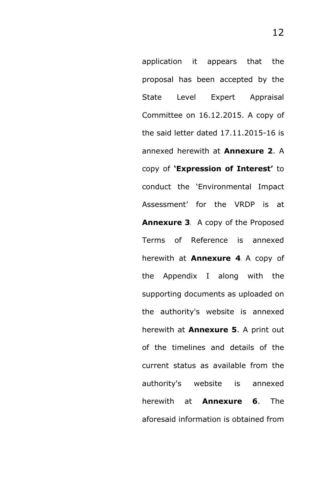application it appears that the proposal has been accepted by the State Level Expert Appraisal Committee on 16.12.2015. A copy of the said letter dated 17.11.2015-16 is annexed herewith at **Annexure 2**. A copy of **'Expression of Interest'** to conduct the 'Environmental Impact Assessment' for the VRDP is at **Annexure 3**. A copy of the Proposed Terms of Reference is annexed herewith at **Annexure 4**. A copy of the Appendix I along with the supporting documents as uploaded on the authority's website is annexed herewith at **Annexure 5**. A print out of the timelines and details of the current status as available from the authority's website is annexed herewith at **Annexure 6**. The aforesaid information is obtained from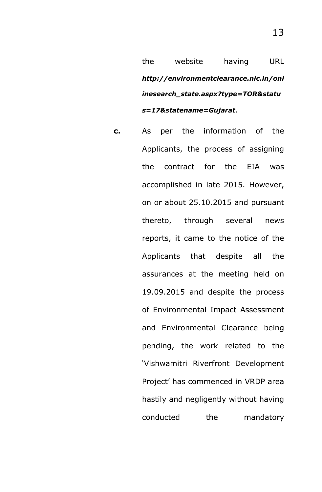the website having URL *http://environmentclearance.nic.in/onl inesearch\_state.aspx?type=TOR&statu s=17&statename=Gujarat*.

**c.** As per the information of the Applicants, the process of assigning the contract for the EIA was accomplished in late 2015. However, on or about 25.10.2015 and pursuant thereto, through several news reports, it came to the notice of the Applicants that despite all the assurances at the meeting held on 19.09.2015 and despite the process of Environmental Impact Assessment and Environmental Clearance being pending, the work related to the 'Vishwamitri Riverfront Development Project' has commenced in VRDP area hastily and negligently without having conducted the mandatory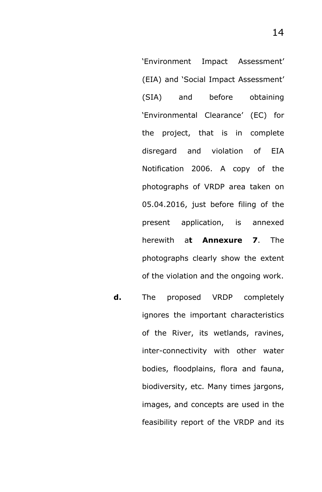'Environment Impact Assessment' (EIA) and 'Social Impact Assessment' (SIA) and before obtaining 'Environmental Clearance' (EC) for the project, that is in complete disregard and violation of EIA Notification 2006. A copy of the photographs of VRDP area taken on 05.04.2016, just before filing of the present application, is annexed herewith a**t Annexure 7**. The photographs clearly show the extent of the violation and the ongoing work.

**d.** The proposed VRDP completely ignores the important characteristics of the River, its wetlands, ravines, inter-connectivity with other water bodies, floodplains, flora and fauna, biodiversity, etc. Many times jargons, images, and concepts are used in the feasibility report of the VRDP and its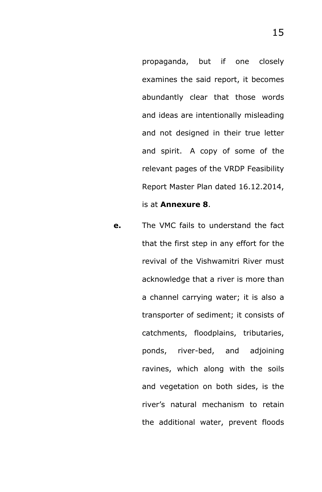propaganda, but if one closely examines the said report, it becomes abundantly clear that those words and ideas are intentionally misleading and not designed in their true letter and spirit. A copy of some of the relevant pages of the VRDP Feasibility Report Master Plan dated 16.12.2014, is at **Annexure 8**.

**e.** The VMC fails to understand the fact that the first step in any effort for the revival of the Vishwamitri River must acknowledge that a river is more than a channel carrying water; it is also a transporter of sediment; it consists of catchments, floodplains, tributaries, ponds, river-bed, and adjoining ravines, which along with the soils and vegetation on both sides, is the river's natural mechanism to retain the additional water, prevent floods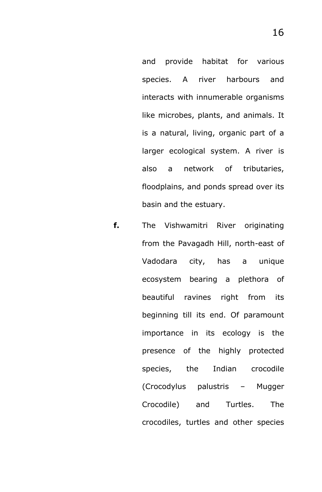and provide habitat for various species. A river harbours and interacts with innumerable organisms like microbes, plants, and animals. It is a natural, living, organic part of a larger ecological system. A river is also a network of tributaries, floodplains, and ponds spread over its basin and the estuary.

**f.** The Vishwamitri River originating from the Pavagadh Hill, north-east of Vadodara city, has a unique ecosystem bearing a plethora of beautiful ravines right from its beginning till its end. Of paramount importance in its ecology is the presence of the highly protected species, the Indian crocodile (Crocodylus palustris – Mugger Crocodile) and Turtles. The crocodiles, turtles and other species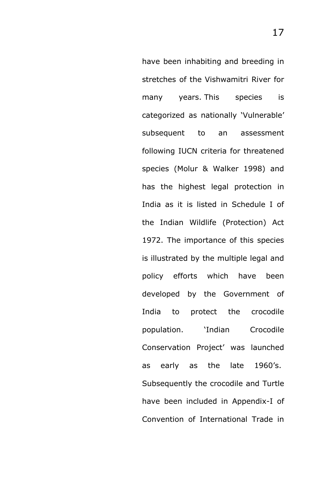have been inhabiting and breeding in stretches of the Vishwamitri River for many years. This species is categorized as nationally 'Vulnerable' subsequent to an assessment following IUCN criteria for threatened species (Molur & Walker 1998) and has the highest legal protection in India as it is listed in Schedule I of the Indian Wildlife (Protection) Act 1972. The importance of this species is illustrated by the multiple legal and policy efforts which have been developed by the Government of India to protect the crocodile population. 'Indian Crocodile Conservation Project' was launched as early as the late 1960's. Subsequently the crocodile and Turtle have been included in Appendix-I of Convention of International Trade in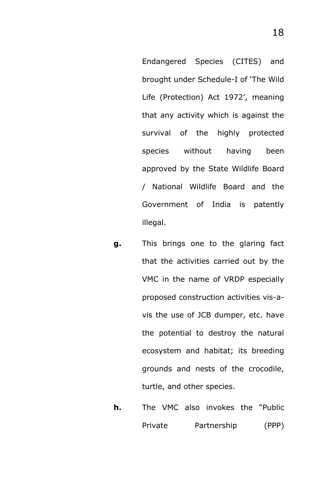Endangered Species (CITES) and brought under Schedule-I of 'The Wild Life (Protection) Act 1972', meaning that any activity which is against the survival of the highly protected species without having been approved by the State Wildlife Board / National Wildlife Board and the Government of India is patently illegal.

- **g.** This brings one to the glaring fact that the activities carried out by the VMC in the name of VRDP especially proposed construction activities vis-avis the use of JCB dumper, etc. have the potential to destroy the natural ecosystem and habitat; its breeding grounds and nests of the crocodile, turtle, and other species.
- **h.** The VMC also invokes the "Public Private Partnership (PPP)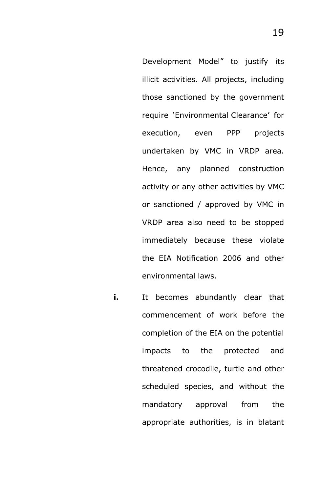Development Model" to justify its illicit activities. All projects, including those sanctioned by the government require 'Environmental Clearance' for execution, even PPP projects undertaken by VMC in VRDP area. Hence, any planned construction activity or any other activities by VMC or sanctioned / approved by VMC in VRDP area also need to be stopped immediately because these violate the EIA Notification 2006 and other environmental laws.

**i.** It becomes abundantly clear that commencement of work before the completion of the EIA on the potential impacts to the protected and threatened crocodile, turtle and other scheduled species, and without the mandatory approval from the appropriate authorities, is in blatant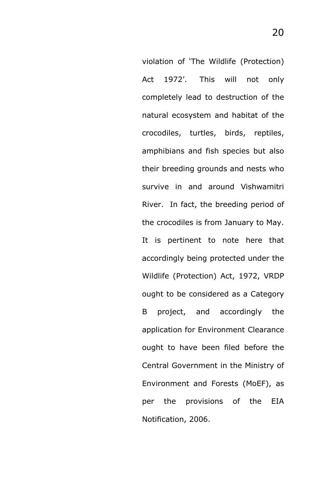violation of 'The Wildlife (Protection) Act 1972'. This will not only completely lead to destruction of the natural ecosystem and habitat of the crocodiles, turtles, birds, reptiles, amphibians and fish species but also their breeding grounds and nests who survive in and around Vishwamitri River. In fact, the breeding period of the crocodiles is from January to May. It is pertinent to note here that accordingly being protected under the Wildlife (Protection) Act, 1972, VRDP ought to be considered as a Category B project, and accordingly the application for Environment Clearance ought to have been filed before the Central Government in the Ministry of Environment and Forests (MoEF), as per the provisions of the EIA Notification, 2006.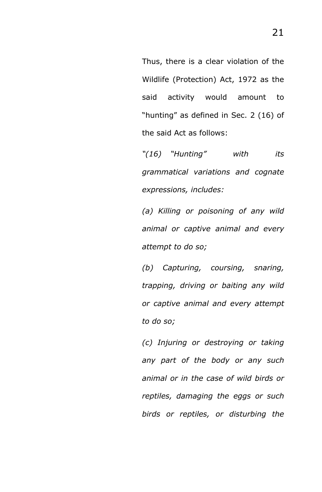Thus, there is a clear violation of the Wildlife (Protection) Act, 1972 as the said activity would amount to "hunting" as defined in Sec. 2 (16) of the said Act as follows:

*"(16) "Hunting" with its grammatical variations and cognate expressions, includes:* 

*(a) Killing or poisoning of any wild animal or captive animal and every attempt to do so;* 

*(b) Capturing, coursing, snaring, trapping, driving or baiting any wild or captive animal and every attempt to do so;* 

*(c) Injuring or destroying or taking any part of the body or any such animal or in the case of wild birds or reptiles, damaging the eggs or such birds or reptiles, or disturbing the*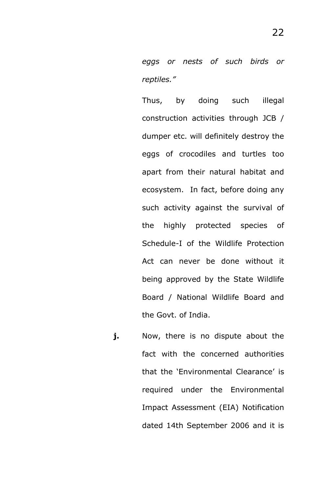*eggs or nests of such birds or reptiles."*

Thus, by doing such illegal construction activities through JCB / dumper etc. will definitely destroy the eggs of crocodiles and turtles too apart from their natural habitat and ecosystem. In fact, before doing any such activity against the survival of the highly protected species of Schedule-I of the Wildlife Protection Act can never be done without it being approved by the State Wildlife Board / National Wildlife Board and the Govt. of India.

**j.** Now, there is no dispute about the fact with the concerned authorities that the 'Environmental Clearance' is required under the Environmental Impact Assessment (EIA) Notification dated 14th September 2006 and it is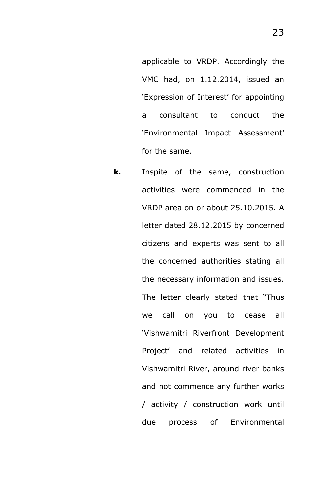applicable to VRDP. Accordingly the VMC had, on 1.12.2014, issued an 'Expression of Interest' for appointing a consultant to conduct the 'Environmental Impact Assessment' for the same.

**k.** Inspite of the same, construction activities were commenced in the VRDP area on or about 25.10.2015. A letter dated 28.12.2015 by concerned citizens and experts was sent to all the concerned authorities stating all the necessary information and issues. The letter clearly stated that "Thus we call on you to cease all 'Vishwamitri Riverfront Development Project' and related activities in Vishwamitri River, around river banks and not commence any further works / activity / construction work until due process of Environmental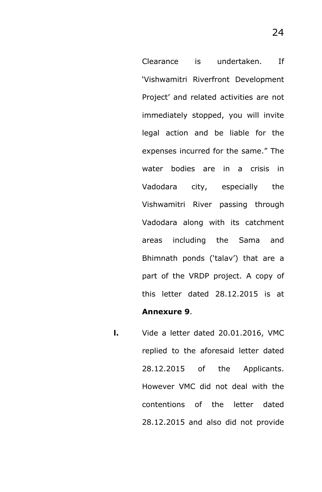Clearance is undertaken. If 'Vishwamitri Riverfront Development Project' and related activities are not immediately stopped, you will invite legal action and be liable for the expenses incurred for the same." The water bodies are in a crisis in Vadodara city, especially the Vishwamitri River passing through Vadodara along with its catchment areas including the Sama and Bhimnath ponds ('talav') that are a part of the VRDP project. A copy of this letter dated 28.12.2015 is at **Annexure 9**.

**l.** Vide a letter dated 20.01.2016, VMC replied to the aforesaid letter dated 28.12.2015 of the Applicants. However VMC did not deal with the contentions of the letter dated 28.12.2015 and also did not provide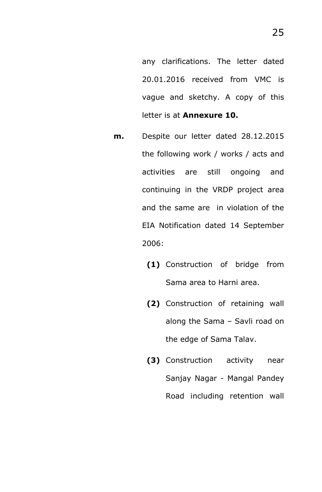any clarifications. The letter dated 20.01.2016 received from VMC is vague and sketchy. A copy of this letter is at **Annexure 10.**

- **m.** Despite our letter dated 28.12.2015 the following work / works / acts and activities are still ongoing and continuing in the VRDP project area and the same are in violation of the EIA Notification dated 14 September 2006:
	- **(1)** Construction of bridge from Sama area to Harni area.
	- **(2)** Construction of retaining wall along the Sama – Savli road on the edge of Sama Talav.
	- **(3)** Construction activity near Sanjay Nagar - Mangal Pandey Road including retention wall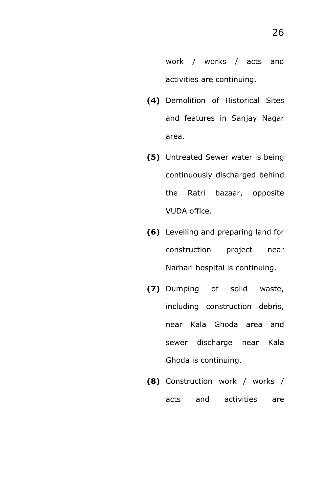work / works / acts and activities are continuing.

- **(4)** Demolition of Historical Sites and features in Sanjay Nagar area.
- **(5)** Untreated Sewer water is being continuously discharged behind the Ratri bazaar, opposite VUDA office.
- **(6)** Levelling and preparing land for construction project near Narhari hospital is continuing.
- **(7)** Dumping of solid waste, including construction debris, near Kala Ghoda area and sewer discharge near Kala Ghoda is continuing.
- **(8)** Construction work / works / acts and activities are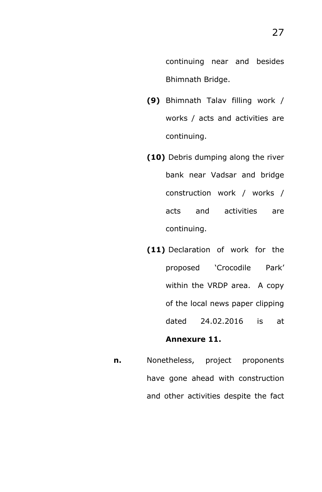- **(9)** Bhimnath Talav filling work / works / acts and activities are continuing.
- **(10)** Debris dumping along the river bank near Vadsar and bridge construction work / works / acts and activities are continuing.
- **(11)** Declaration of work for the proposed 'Crocodile Park' within the VRDP area. A copy of the local news paper clipping dated 24.02.2016 is at **Annexure 11.**
- **n.** Nonetheless, project proponents have gone ahead with construction and other activities despite the fact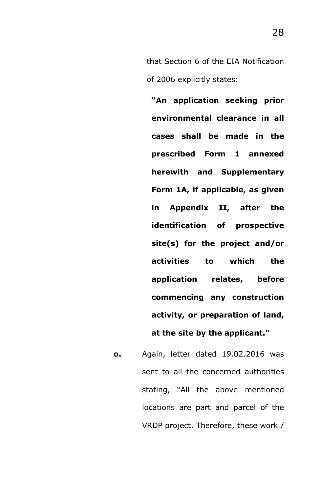that Section 6 of the EIA Notification of 2006 explicitly states:

**"An application seeking prior environmental clearance in all cases shall be made in the prescribed Form 1 annexed herewith and Supplementary Form 1A, if applicable, as given in Appendix II, after the identification of prospective site(s) for the project and/or activities to which the application relates, before commencing any construction activity, or preparation of land, at the site by the applicant."** 

**o.** Again, letter dated 19.02.2016 was sent to all the concerned authorities stating, "All the above mentioned locations are part and parcel of the VRDP project. Therefore, these work /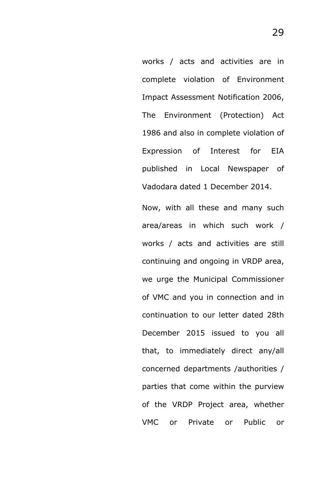works / acts and activities are in complete violation of Environment Impact Assessment Notification 2006, The Environment (Protection) Act 1986 and also in complete violation of Expression of Interest for EIA published in Local Newspaper of Vadodara dated 1 December 2014.

Now, with all these and many such area/areas in which such work / works / acts and activities are still continuing and ongoing in VRDP area, we urge the Municipal Commissioner of VMC and you in connection and in continuation to our letter dated 28th December 2015 issued to you all that, to immediately direct any/all concerned departments /authorities / parties that come within the purview of the VRDP Project area, whether VMC or Private or Public or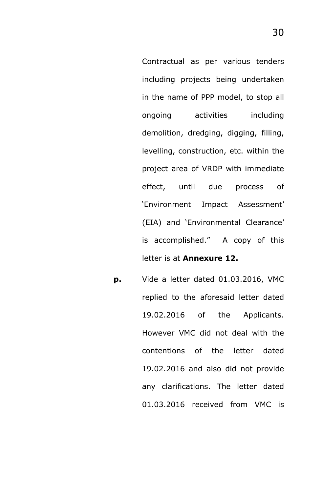Contractual as per various tenders including projects being undertaken in the name of PPP model, to stop all ongoing activities including demolition, dredging, digging, filling, levelling, construction, etc. within the project area of VRDP with immediate effect, until due process of 'Environment Impact Assessment' (EIA) and 'Environmental Clearance' is accomplished." A copy of this letter is at **Annexure 12.**

**p.** Vide a letter dated 01.03.2016, VMC replied to the aforesaid letter dated 19.02.2016 of the Applicants. However VMC did not deal with the contentions of the letter dated 19.02.2016 and also did not provide any clarifications. The letter dated 01.03.2016 received from VMC is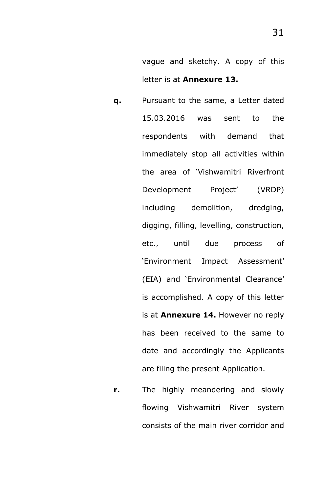vague and sketchy. A copy of this letter is at **Annexure 13.**

- **q.** Pursuant to the same, a Letter dated 15.03.2016 was sent to the respondents with demand that immediately stop all activities within the area of 'Vishwamitri Riverfront Development Project' (VRDP) including demolition, dredging, digging, filling, levelling, construction, etc., until due process of 'Environment Impact Assessment' (EIA) and 'Environmental Clearance' is accomplished. A copy of this letter is at **Annexure 14.** However no reply has been received to the same to date and accordingly the Applicants are filing the present Application.
- **r.** The highly meandering and slowly flowing Vishwamitri River system consists of the main river corridor and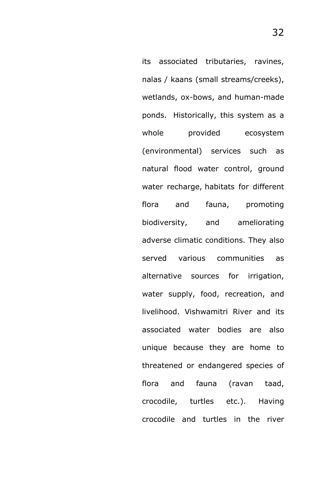its associated tributaries, ravines, nalas / kaans (small streams/creeks), wetlands, ox-bows, and human-made ponds. Historically, this system as a whole provided ecosystem (environmental) services such as natural flood water control, ground water recharge, habitats for different flora and fauna, promoting biodiversity, and ameliorating adverse climatic conditions. They also served various communities as alternative sources for irrigation, water supply, food, recreation, and livelihood. Vishwamitri River and its associated water bodies are also unique because they are home to threatened or endangered species of flora and fauna (ravan taad, crocodile, turtles etc.). Having crocodile and turtles in the river

32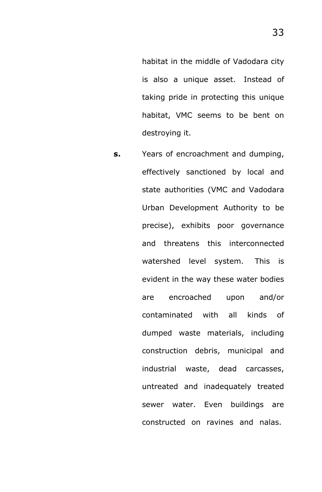habitat in the middle of Vadodara city is also a unique asset. Instead of taking pride in protecting this unique habitat, VMC seems to be bent on destroying it.

**s.** Years of encroachment and dumping, effectively sanctioned by local and state authorities (VMC and Vadodara Urban Development Authority to be precise), exhibits poor governance and threatens this interconnected watershed level system. This is evident in the way these water bodies are encroached upon and/or contaminated with all kinds of dumped waste materials, including construction debris, municipal and industrial waste, dead carcasses, untreated and inadequately treated sewer water. Even buildings are constructed on ravines and nalas.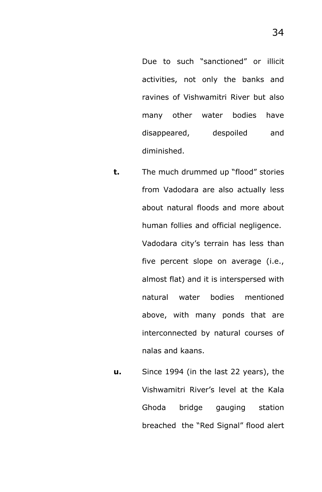Due to such "sanctioned" or illicit activities, not only the banks and ravines of Vishwamitri River but also many other water bodies have disappeared, despoiled and diminished.

- **t.** The much drummed up "flood" stories from Vadodara are also actually less about natural floods and more about human follies and official negligence. Vadodara city's terrain has less than five percent slope on average (i.e., almost flat) and it is interspersed with natural water bodies mentioned above, with many ponds that are interconnected by natural courses of nalas and kaans.
- **u.** Since 1994 (in the last 22 years), the Vishwamitri River's level at the Kala Ghoda bridge gauging station breached the "Red Signal" flood alert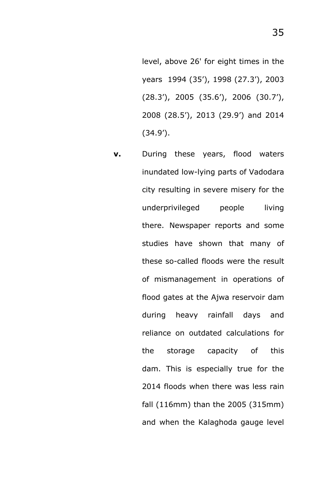level, above 26' for eight times in the years 1994 (35'), 1998 (27.3'), 2003 (28.3'), 2005 (35.6'), 2006 (30.7'), 2008 (28.5'), 2013 (29.9') and 2014 (34.9').

**v.** During these years, flood waters inundated low-lying parts of Vadodara city resulting in severe misery for the underprivileged people living there. Newspaper reports and some studies have shown that many of these so-called floods were the result of mismanagement in operations of flood gates at the Ajwa reservoir dam during heavy rainfall days and reliance on outdated calculations for the storage capacity of this dam. This is especially true for the 2014 floods when there was less rain fall (116mm) than the 2005 (315mm) and when the Kalaghoda gauge level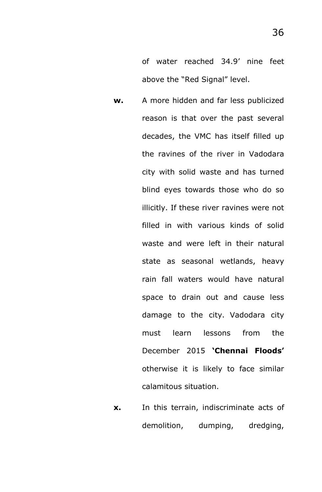of water reached 34.9' nine feet above the "Red Signal" level.

- **w.** A more hidden and far less publicized reason is that over the past several decades, the VMC has itself filled up the ravines of the river in Vadodara city with solid waste and has turned blind eyes towards those who do so illicitly. If these river ravines were not filled in with various kinds of solid waste and were left in their natural state as seasonal wetlands, heavy rain fall waters would have natural space to drain out and cause less damage to the city. Vadodara city must learn lessons from the December 2015 **'Chennai Floods'** otherwise it is likely to face similar calamitous situation.
- **x.** In this terrain, indiscriminate acts of demolition, dumping, dredging,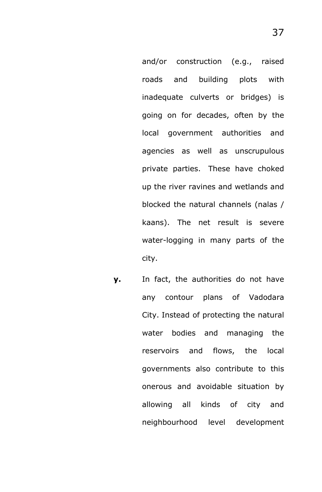and/or construction (e.g., raised roads and building plots with inadequate culverts or bridges) is going on for decades, often by the local government authorities and agencies as well as unscrupulous private parties. These have choked up the river ravines and wetlands and blocked the natural channels (nalas / kaans). The net result is severe water-logging in many parts of the city.

**y.** In fact, the authorities do not have any contour plans of Vadodara City. Instead of protecting the natural water bodies and managing the reservoirs and flows, the local governments also contribute to this onerous and avoidable situation by allowing all kinds of city and neighbourhood level development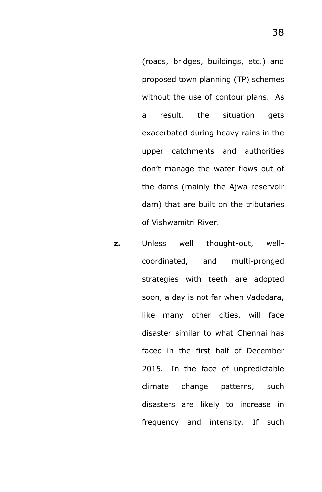(roads, bridges, buildings, etc.) and proposed town planning (TP) schemes without the use of contour plans. As a result, the situation gets exacerbated during heavy rains in the upper catchments and authorities don't manage the water flows out of the dams (mainly the Ajwa reservoir dam) that are built on the tributaries of Vishwamitri River.

**z.** Unless well thought-out, wellcoordinated, and multi-pronged strategies with teeth are adopted soon, a day is not far when Vadodara, like many other cities, will face disaster similar to what Chennai has faced in the first half of December 2015. In the face of unpredictable climate change patterns, such disasters are likely to increase in frequency and intensity. If such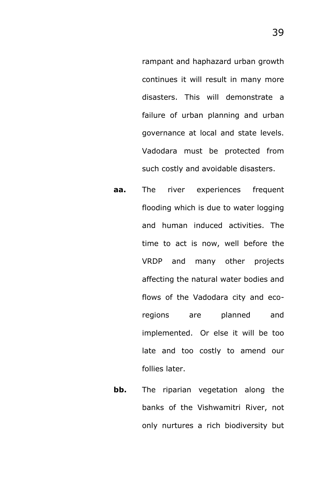rampant and haphazard urban growth continues it will result in many more disasters. This will demonstrate a failure of urban planning and urban governance at local and state levels. Vadodara must be protected from such costly and avoidable disasters.

- **aa.** The river experiences frequent flooding which is due to water logging and human induced activities. The time to act is now, well before the VRDP and many other projects affecting the natural water bodies and flows of the Vadodara city and ecoregions are planned and implemented. Or else it will be too late and too costly to amend our follies later.
- **bb.** The riparian vegetation along the banks of the Vishwamitri River, not only nurtures a rich biodiversity but

39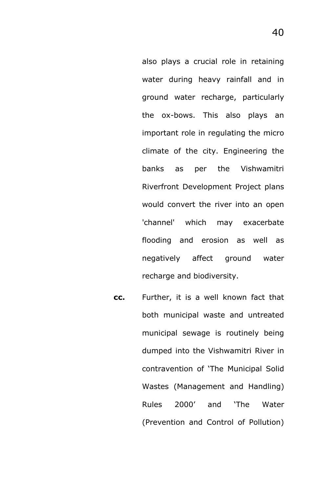also plays a crucial role in retaining water during heavy rainfall and in ground water recharge, particularly the ox-bows. This also plays an important role in regulating the micro climate of the city. Engineering the banks as per the Vishwamitri Riverfront Development Project plans would convert the river into an open 'channel' which may exacerbate flooding and erosion as well as negatively affect ground water recharge and biodiversity.

**cc.** Further, it is a well known fact that both municipal waste and untreated municipal sewage is routinely being dumped into the Vishwamitri River in contravention of 'The Municipal Solid Wastes (Management and Handling) Rules 2000' and 'The Water (Prevention and Control of Pollution)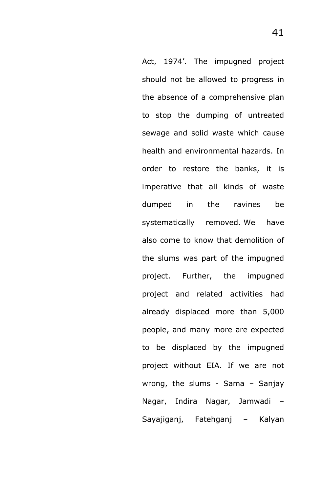Act, 1974'. The impugned project should not be allowed to progress in the absence of a comprehensive plan to stop the dumping of untreated sewage and solid waste which cause health and environmental hazards. In order to restore the banks, it is imperative that all kinds of waste dumped in the ravines be systematically removed. We have also come to know that demolition of the slums was part of the impugned project. Further, the impugned project and related activities had already displaced more than 5,000 people, and many more are expected to be displaced by the impugned project without EIA. If we are not wrong, the slums - Sama – Sanjay Nagar, Indira Nagar, Jamwadi – Sayajiganj, Fatehganj – Kalyan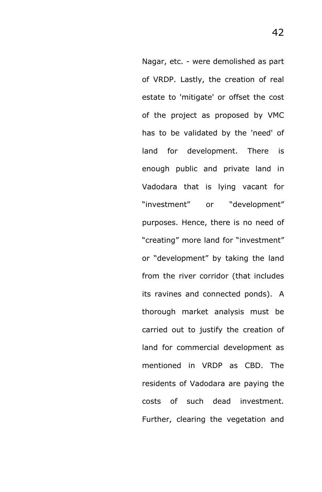Nagar, etc. - were demolished as part of VRDP. Lastly, the creation of real estate to 'mitigate' or offset the cost of the project as proposed by VMC has to be validated by the 'need' of land for development. There is enough public and private land in Vadodara that is lying vacant for "investment" or "development" purposes. Hence, there is no need of "creating" more land for "investment" or "development" by taking the land from the river corridor (that includes its ravines and connected ponds). A thorough market analysis must be carried out to justify the creation of land for commercial development as mentioned in VRDP as CBD. The residents of Vadodara are paying the costs of such dead investment. Further, clearing the vegetation and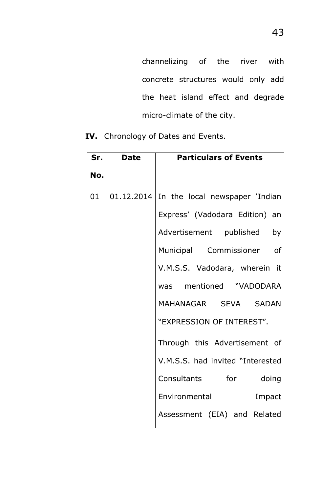channelizing of the river with concrete structures would only add the heat island effect and degrade micro-climate of the city.

| Sr. | <b>Date</b> | <b>Particulars of Events</b>                |
|-----|-------------|---------------------------------------------|
| No. |             |                                             |
| 01  |             | $01.12.2014$ In the local newspaper 'Indian |
|     |             | Express' (Vadodara Edition) an              |
|     |             | Advertisement published by                  |
|     |             | Municipal Commissioner of                   |
|     |             | V.M.S.S. Vadodara, wherein it               |
|     |             | was mentioned "VADODARA                     |
|     |             | MAHANAGAR SEVA SADAN                        |
|     |             | "EXPRESSION OF INTEREST".                   |
|     |             | Through this Advertisement of               |
|     |             | V.M.S.S. had invited "Interested            |
|     |             | Consultants for doing                       |
|     |             | Environmental<br>Impact                     |
|     |             | Assessment (EIA) and Related                |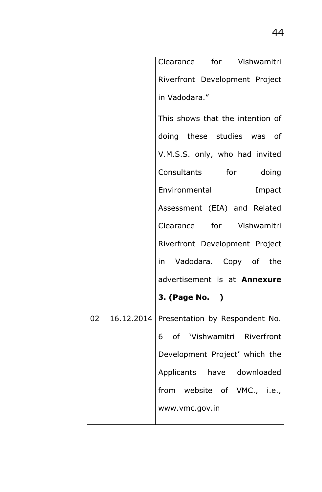|    |            | Clearance for Vishwamitri        |
|----|------------|----------------------------------|
|    |            | Riverfront Development Project   |
|    |            | in Vadodara."                    |
|    |            | This shows that the intention of |
|    |            | doing these studies was of       |
|    |            | V.M.S.S. only, who had invited   |
|    |            | Consultants for doing            |
|    |            | Environmental<br>Impact          |
|    |            | Assessment (EIA) and Related     |
|    |            | Clearance for Vishwamitri        |
|    |            | Riverfront Development Project   |
|    |            | in Vadodara. Copy of the         |
|    |            | advertisement is at Annexure     |
|    |            | <b>3. (Page No. )</b>            |
| 02 | 16.12.2014 | Presentation by Respondent No.   |
|    |            | 6 of 'Vishwamitri Riverfront     |
|    |            | Development Project' which the   |
|    |            | Applicants have downloaded       |
|    |            | from website of VMC., i.e.,      |
|    |            | www.vmc.gov.in                   |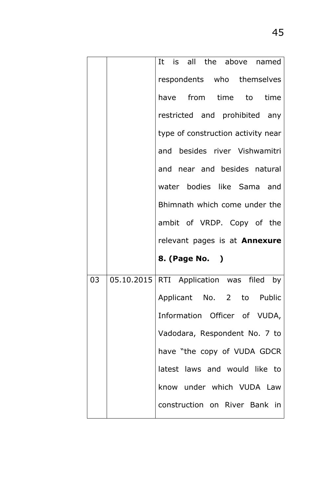|    | It is all the above named                    |
|----|----------------------------------------------|
|    | respondents who themselves                   |
|    | have from time to time                       |
|    | restricted and prohibited any                |
|    | type of construction activity near           |
|    | and besides river Vishwamitri                |
|    | and near and besides natural                 |
|    | water bodies like Sama and                   |
|    | Bhimnath which come under the                |
|    | ambit of VRDP. Copy of the                   |
|    | relevant pages is at <b>Annexure</b>         |
|    | 8. (Page No. )                               |
| 03 | 05.10.2015   RTI Application was filed<br>by |
|    | Applicant No. 2 to Public                    |
|    | Information Officer of VUDA,                 |
|    | Vadodara, Respondent No. 7 to                |
|    | have "the copy of VUDA GDCR                  |
|    | latest laws and would like to                |
|    | know under which VUDA Law                    |
|    | construction on River Bank in                |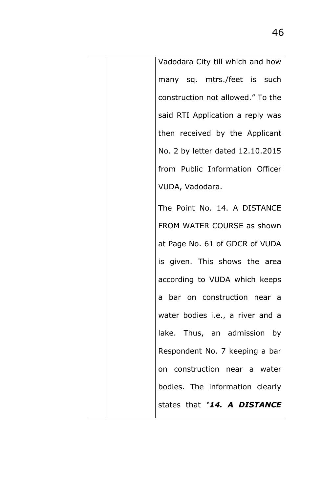| Vadodara City till which and how  |
|-----------------------------------|
| many sq. mtrs./feet is such       |
| construction not allowed." To the |
| said RTI Application a reply was  |
| then received by the Applicant    |
| No. 2 by letter dated 12.10.2015  |
| from Public Information Officer   |
| VUDA, Vadodara.                   |
| The Point No. 14. A DISTANCE      |
| FROM WATER COURSE as shown        |
| at Page No. 61 of GDCR of VUDA    |
| is given. This shows the area     |
| according to VUDA which keeps     |
| a bar on construction near a      |
| water bodies i.e., a river and a  |
| lake. Thus, an admission by       |
| Respondent No. 7 keeping a bar    |
| on construction near a water      |
| bodies. The information clearly   |
| states that "14. A DISTANCE       |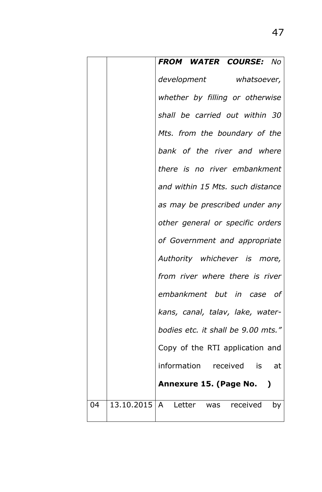|    | FROM WATER COURSE: No                    |
|----|------------------------------------------|
|    | development whatsoever,                  |
|    | whether by filling or otherwise          |
|    | shall be carried out within 30           |
|    | Mts. from the boundary of the            |
|    | bank of the river and where              |
|    | there is no river embankment             |
|    | and within 15 Mts. such distance         |
|    | as may be prescribed under any           |
|    | other general or specific orders         |
|    | of Government and appropriate            |
|    | Authority whichever is more,             |
|    | from river where there is river          |
|    | embankment but in case of                |
|    | kans, canal, talav, lake, water-         |
|    | bodies etc. it shall be 9.00 mts."       |
|    | Copy of the RTI application and          |
|    | information received is at               |
|    | Annexure 15. (Page No. )                 |
| 04 | 13.10.2015   A Letter was received<br>by |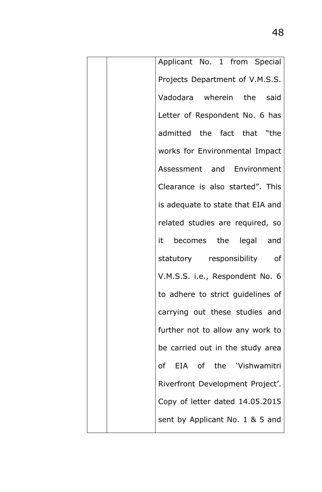| Applicant No. 1 from Special      |
|-----------------------------------|
| Projects Department of V.M.S.S.   |
| Vadodara wherein the said         |
| Letter of Respondent No. 6 has    |
| admitted the fact that "the       |
| works for Environmental Impact    |
| Assessment and Environment        |
| Clearance is also started". This  |
| is adequate to state that EIA and |
| related studies are required, so  |
| it becomes the legal and          |
| statutory responsibility of       |
| V.M.S.S. i.e., Respondent No. 6   |
| to adhere to strict guidelines of |
| carrying out these studies and    |
| further not to allow any work to  |
| be carried out in the study area  |
| of EIA of the 'Vishwamitri        |
| Riverfront Development Project'.  |
| Copy of letter dated 14.05.2015   |
| sent by Applicant No. 1 & 5 and   |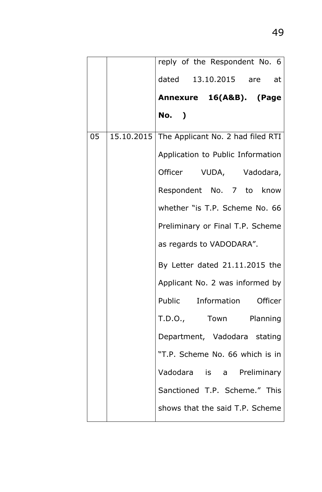|    | reply of the Respondent No. 6                |
|----|----------------------------------------------|
|    | dated 13.10.2015 are at                      |
|    | Annexure 16(A&B). (Page                      |
|    | No. )                                        |
| 05 | 15.10.2015 The Applicant No. 2 had filed RTI |
|    | Application to Public Information            |
|    | Officer VUDA, Vadodara,                      |
|    | Respondent No. 7 to know                     |
|    | whether "is T.P. Scheme No. 66               |
|    | Preliminary or Final T.P. Scheme             |
|    | as regards to VADODARA".                     |
|    | By Letter dated $21.11.2015$ the             |
|    | Applicant No. 2 was informed by              |
|    | Public Information Officer                   |
|    | T.D.O., Town Planning                        |
|    | Department, Vadodara stating                 |
|    | "T.P. Scheme No. 66 which is in              |
|    | Vadodara is a Preliminary                    |
|    | Sanctioned T.P. Scheme." This                |
|    | shows that the said T.P. Scheme              |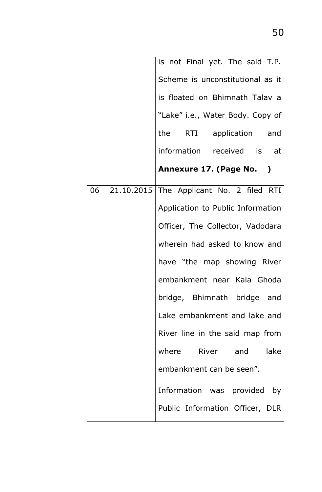|    | is not Final yet. The said T.P.          |
|----|------------------------------------------|
|    | Scheme is unconstitutional as it         |
|    | is floated on Bhimnath Talav a           |
|    | "Lake" i.e., Water Body. Copy of         |
|    | the RTI application and                  |
|    | information received is at               |
|    | Annexure 17. (Page No. )                 |
| 06 | 21.10.2015 The Applicant No. 2 filed RTI |
|    | Application to Public Information        |
|    | Officer, The Collector, Vadodara         |
|    | wherein had asked to know and            |
|    | have "the map showing River              |
|    | embankment near Kala Ghoda               |
|    | bridge, Bhimnath bridge and              |
|    | Lake embankment and lake and             |
|    | River line in the said map from          |
|    | where River and lake                     |
|    | embankment can be seen".                 |
|    | Information was provided by              |
|    | Public Information Officer, DLR          |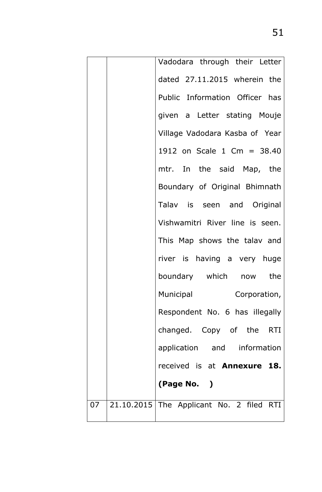|    | Vadodara through their Letter            |
|----|------------------------------------------|
|    | dated 27.11.2015 wherein the             |
|    | Public Information Officer has           |
|    | given a Letter stating Mouje             |
|    | Village Vadodara Kasba of Year           |
|    | 1912 on Scale 1 Cm = 38.40               |
|    | mtr. In the said Map, the                |
|    | Boundary of Original Bhimnath            |
|    | Talav is seen and Original               |
|    | Vishwamitri River line is seen.          |
|    | This Map shows the talav and             |
|    | river is having a very huge              |
|    | boundary which now the                   |
|    | Municipal<br>Corporation,                |
|    | Respondent No. 6 has illegally           |
|    | changed. Copy of the RTI                 |
|    | application and information              |
|    | received is at <b>Annexure 18.</b>       |
|    | (Page No. )                              |
| 07 | 21.10.2015 The Applicant No. 2 filed RTI |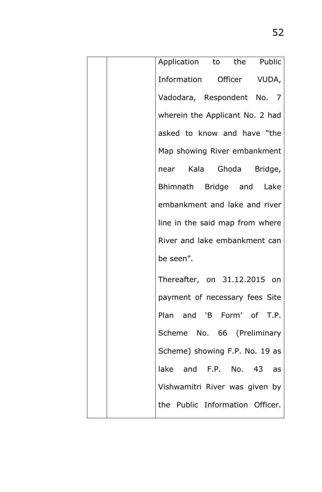|  | Application to the Public       |
|--|---------------------------------|
|  | Information Officer VUDA,       |
|  | Vadodara, Respondent No. 7      |
|  | wherein the Applicant No. 2 had |
|  | asked to know and have "the     |
|  | Map showing River embankment    |
|  | near Kala Ghoda Bridge,         |
|  | Bhimnath Bridge and Lake        |
|  | embankment and lake and river   |
|  | line in the said map from where |
|  | River and lake embankment can   |
|  | be seen".                       |
|  | Thereafter, on 31.12.2015 on    |
|  | payment of necessary fees Site  |
|  | Plan and 'B Form' of T.P.       |
|  | Scheme No. 66 (Preliminary      |
|  | Scheme) showing F.P. No. 19 as  |
|  | lake and F.P. No. 43 as         |
|  | Vishwamitri River was given by  |
|  | the Public Information Officer. |
|  |                                 |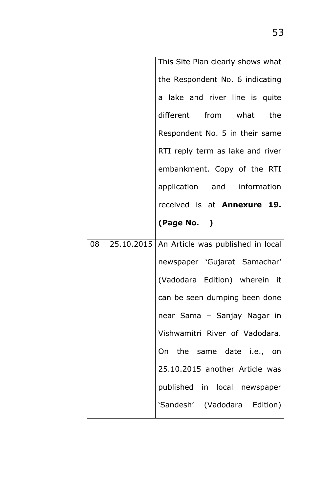|    | This Site Plan clearly shows what              |
|----|------------------------------------------------|
|    | the Respondent No. 6 indicating                |
|    | a lake and river line is quite                 |
|    | different from what the                        |
|    | Respondent No. 5 in their same                 |
|    | RTI reply term as lake and river               |
|    | embankment. Copy of the RTI                    |
|    | application and information                    |
|    | received is at <b>Annexure 19.</b>             |
|    | (Page No. )                                    |
|    |                                                |
| 08 | 25.10.2015   An Article was published in local |
|    | newspaper 'Gujarat Samachar'                   |
|    | (Vadodara Edition) wherein it                  |
|    | can be seen dumping been done                  |
|    | near Sama - Sanjay Nagar in                    |
|    | Vishwamitri River of Vadodara.                 |
|    | On the same date i.e., on                      |
|    | 25.10.2015 another Article was                 |
|    | published in local newspaper                   |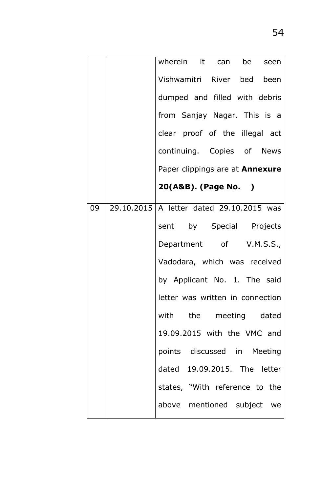|    | wherein it can be seen                     |
|----|--------------------------------------------|
|    | Vishwamitri River bed been                 |
|    | dumped and filled with debris              |
|    | from Sanjay Nagar. This is a               |
|    | clear proof of the illegal act             |
|    | continuing. Copies of News                 |
|    | Paper clippings are at <b>Annexure</b>     |
|    | 20(A&B). (Page No. )                       |
| 09 | 29.10.2015   A letter dated 29.10.2015 was |
|    | sent by Special Projects                   |
|    | Department of V.M.S.S.,                    |
|    | Vadodara, which was received               |
|    | by Applicant No. 1. The said               |
|    | letter was written in connection           |
|    | with the meeting dated                     |
|    | 19.09.2015 with the VMC and                |
|    | points discussed in Meeting                |
|    | dated 19.09.2015. The letter               |
|    | states, "With reference to the             |
|    | above mentioned subject we                 |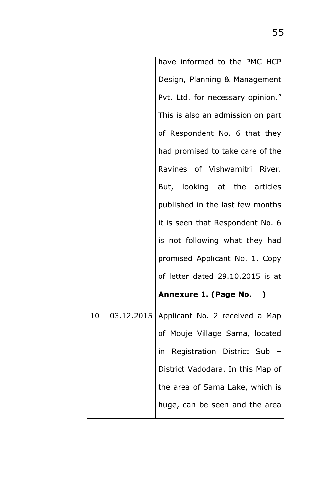|    | have informed to the PMC HCP                |
|----|---------------------------------------------|
|    | Design, Planning & Management               |
|    | Pvt. Ltd. for necessary opinion."           |
|    | This is also an admission on part           |
|    | of Respondent No. 6 that they               |
|    | had promised to take care of the            |
|    | Ravines of Vishwamitri River.               |
|    | But, looking at the articles                |
|    | published in the last few months            |
|    | it is seen that Respondent No. 6            |
|    | is not following what they had              |
|    | promised Applicant No. 1. Copy              |
|    | of letter dated 29.10.2015 is at            |
|    | Annexure 1. (Page No. )                     |
| 10 | 03.12.2015   Applicant No. 2 received a Map |
|    | of Mouje Village Sama, located              |
|    | in Registration District Sub -              |
|    | District Vadodara. In this Map of           |
|    |                                             |
|    | the area of Sama Lake, which is             |
|    | huge, can be seen and the area              |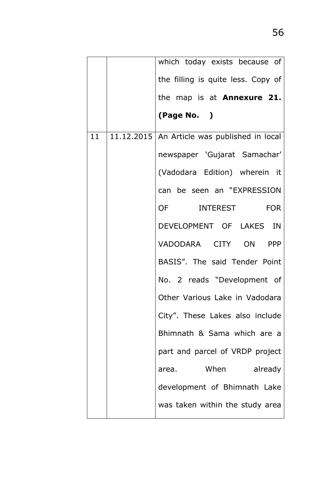|    | which today exists because of                  |
|----|------------------------------------------------|
|    | the filling is quite less. Copy of             |
|    | the map is at <b>Annexure 21.</b>              |
|    | (Page No. )                                    |
| 11 | 11.12.2015   An Article was published in local |
|    | newspaper 'Gujarat Samachar'                   |
|    | (Vadodara Edition) wherein it                  |
|    | can be seen an "EXPRESSION                     |
|    | OF INTEREST FOR                                |
|    | DEVELOPMENT OF LAKES IN                        |
|    | VADODARA CITY ON PPP                           |
|    | BASIS". The said Tender Point                  |
|    | No. 2 reads "Development of                    |
|    | Other Various Lake in Vadodara                 |
|    | City". These Lakes also include                |
|    | Bhimnath & Sama which are a                    |
|    | part and parcel of VRDP project                |
|    | area. When already                             |
|    | development of Bhimnath Lake                   |
|    | was taken within the study area                |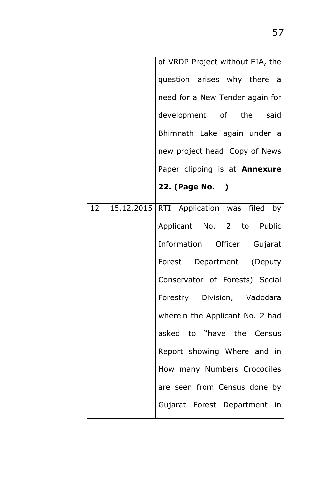|    | of VRDP Project without EIA, the        |
|----|-----------------------------------------|
|    | question arises why there a             |
|    | need for a New Tender again for         |
|    | development of the said                 |
|    | Bhimnath Lake again under a             |
|    | new project head. Copy of News          |
|    | Paper clipping is at Annexure           |
|    | 22. (Page No. )                         |
| 12 | 15.12.2015 RTI Application was filed by |
|    | Applicant No. 2 to Public               |
|    | Information Officer Gujarat             |
|    | Forest Department (Deputy               |
|    | Conservator of Forests) Social          |
|    | Forestry Division, Vadodara             |
|    | wherein the Applicant No. 2 had         |
|    | asked to "have the Census               |
|    | Report showing Where and in             |
|    | How many Numbers Crocodiles             |
|    | are seen from Census done by            |
|    | Gujarat Forest Department in            |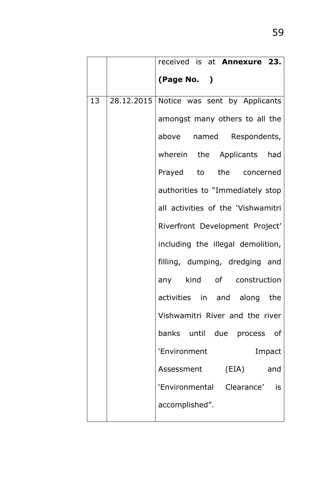|    | received is at <b>Annexure 23.</b>         |
|----|--------------------------------------------|
|    | (Page No. )                                |
| 13 | 28.12.2015   Notice was sent by Applicants |
|    | amongst many others to all the             |
|    | above named Respondents,                   |
|    | wherein the Applicants had                 |
|    | Prayed to the concerned                    |
|    | authorities to "Immediately stop           |
|    | all activities of the 'Vishwamitri         |
|    | Riverfront Development Project'            |
|    | including the illegal demolition,          |
|    | filling, dumping, dredging and             |
|    | any kind of construction                   |
|    | activities in and along the                |
|    | Vishwamitri River and the river            |
|    | banks until due process of                 |
|    | 'Environment<br>Impact                     |
|    | Assessment (EIA)<br>and                    |
|    | 'Environmental Clearance' is               |
|    | accomplished".                             |
|    |                                            |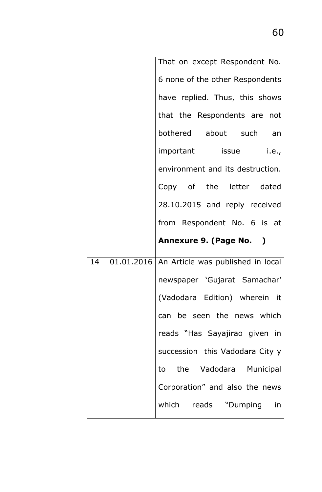|    | That on except Respondent No.                  |
|----|------------------------------------------------|
|    | 6 none of the other Respondents                |
|    | have replied. Thus, this shows                 |
|    | that the Respondents are not                   |
|    | bothered about such an                         |
|    | important issue i.e.,                          |
|    | environment and its destruction.               |
|    | Copy of the letter dated                       |
|    | 28.10.2015 and reply received                  |
|    | from Respondent No. 6 is at                    |
|    |                                                |
|    | Annexure 9. (Page No. )                        |
| 14 | 01.01.2016   An Article was published in local |
|    | newspaper 'Gujarat Samachar'                   |
|    | (Vadodara Edition) wherein it                  |
|    | can be seen the news which                     |
|    | reads "Has Sayajirao given in                  |
|    | succession this Vadodara City y                |
|    | to the Vadodara Municipal                      |
|    | Corporation" and also the news                 |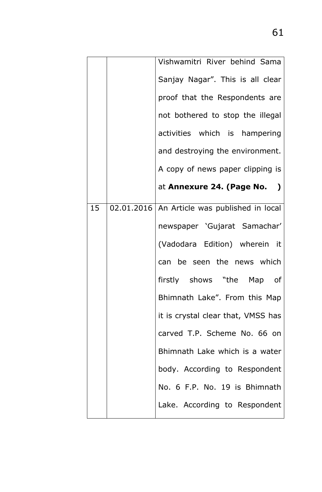|    | Vishwamitri River behind Sama                  |
|----|------------------------------------------------|
|    | Sanjay Nagar". This is all clear               |
|    | proof that the Respondents are                 |
|    | not bothered to stop the illegal               |
|    | activities which is hampering                  |
|    | and destroying the environment.                |
|    | A copy of news paper clipping is               |
|    | at Annexure 24. (Page No. )                    |
| 15 | 02.01.2016   An Article was published in local |
|    | newspaper 'Gujarat Samachar'                   |
|    | (Vadodara Edition) wherein it                  |
|    | can be seen the news which                     |
|    | firstly shows "the Map<br>of                   |
|    | Bhimnath Lake". From this Map                  |
|    | it is crystal clear that, VMSS has             |
|    | carved T.P. Scheme No. 66 on                   |
|    | Bhimnath Lake which is a water                 |
|    | body. According to Respondent                  |
|    | No. 6 F.P. No. 19 is Bhimnath                  |
|    | Lake. According to Respondent                  |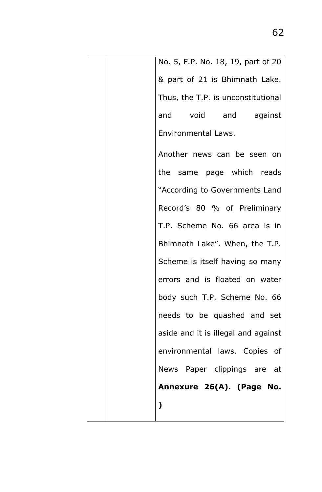|   | No. 5, F.P. No. 18, 19, part of 20  |
|---|-------------------------------------|
|   | & part of 21 is Bhimnath Lake.      |
|   | Thus, the T.P. is unconstitutional  |
|   | and void and against                |
|   | Environmental Laws.                 |
|   | Another news can be seen on         |
|   | the same page which reads           |
|   | "According to Governments Land      |
|   | Record's 80 % of Preliminary        |
|   | T.P. Scheme No. 66 area is in       |
|   | Bhimnath Lake". When, the T.P.      |
|   | Scheme is itself having so many     |
|   | errors and is floated on water      |
|   | body such T.P. Scheme No. 66        |
|   | needs to be quashed and set         |
|   | aside and it is illegal and against |
|   | environmental laws. Copies of       |
|   | News Paper clippings are at         |
|   | Annexure 26(A). (Page No.           |
| ) |                                     |
|   |                                     |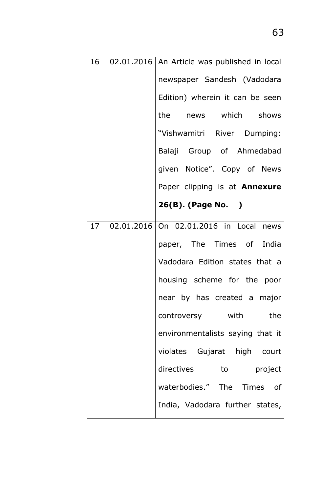| 16              | 02.01.2016   An Article was published in local |
|-----------------|------------------------------------------------|
|                 | newspaper Sandesh (Vadodara                    |
|                 | Edition) wherein it can be seen                |
|                 | the news which shows                           |
|                 | "Vishwamitri River Dumping:                    |
|                 | Balaji Group of Ahmedabad                      |
|                 | given Notice". Copy of News                    |
|                 | Paper clipping is at <b>Annexure</b>           |
|                 | 26(B). (Page No. )                             |
| 17 <sub>2</sub> | 02.01.2016 On 02.01.2016 in Local news         |
|                 | paper, The Times of India                      |
|                 | Vadodara Edition states that a                 |
|                 | housing scheme for the poor                    |
|                 | near by has created a major                    |
|                 | controversy with<br>the                        |
|                 | environmentalists saying that it               |
|                 | violates Gujarat high court                    |
|                 | directives to project                          |
|                 | waterbodies." The Times of                     |
|                 |                                                |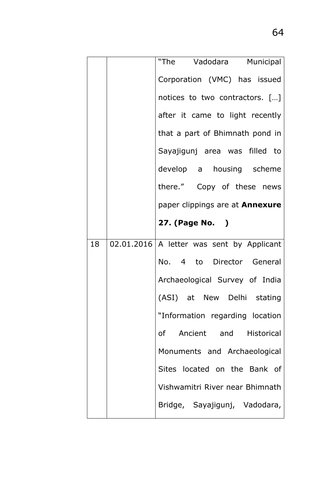|    | "The Vadodara Municipal                     |
|----|---------------------------------------------|
|    | Corporation (VMC) has issued                |
|    | notices to two contractors. []              |
|    | after it came to light recently             |
|    | that a part of Bhimnath pond in             |
|    | Sayajigunj area was filled to               |
|    | develop a housing scheme                    |
|    | there." Copy of these news                  |
|    | paper clippings are at <b>Annexure</b>      |
|    | 27. (Page No. )                             |
| 18 | 02.01.2016   A letter was sent by Applicant |
|    | No. 4 to Director General                   |
|    | Archaeological Survey of India              |
|    | (ASI) at New Delhi stating                  |
|    | "Information regarding location             |
|    | of Ancient and Historical                   |
|    | Monuments and Archaeological                |
|    | Sites located on the Bank of                |
|    | Vishwamitri River near Bhimnath             |
|    | Bridge, Sayajigunj, Vadodara,               |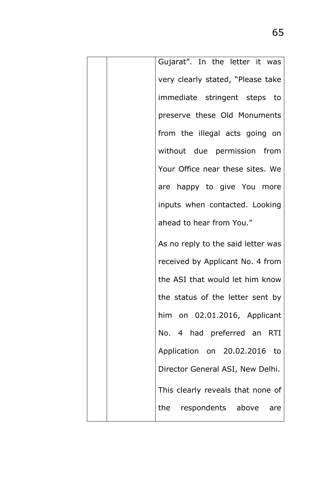| Gujarat". In the letter it was     |
|------------------------------------|
| very clearly stated, "Please take  |
| immediate stringent steps to       |
| preserve these Old Monuments       |
| from the illegal acts going on     |
| without due permission from        |
| Your Office near these sites. We   |
| are happy to give You more         |
| inputs when contacted. Looking     |
| ahead to hear from You."           |
| As no reply to the said letter was |
| received by Applicant No. 4 from   |
| the ASI that would let him know    |
| the status of the letter sent by   |
| him on 02.01.2016, Applicant       |
| No. 4 had preferred an RTI         |
| Application on 20.02.2016 to       |
| Director General ASI, New Delhi.   |
| This clearly reveals that none of  |
| the respondents above are          |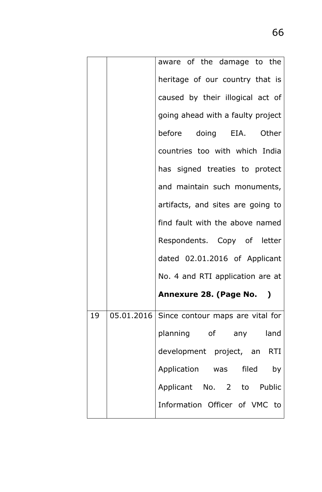|    | aware of the damage to the                  |
|----|---------------------------------------------|
|    | heritage of our country that is             |
|    | caused by their illogical act of            |
|    | going ahead with a faulty project           |
|    | before doing EIA. Other                     |
|    | countries too with which India              |
|    | has signed treaties to protect              |
|    | and maintain such monuments,                |
|    | artifacts, and sites are going to           |
|    | find fault with the above named             |
|    | Respondents. Copy of letter                 |
|    | dated 02.01.2016 of Applicant               |
|    | No. 4 and RTI application are at            |
|    | Annexure 28. (Page No. )                    |
| 19 | 05.01.2016 Since contour maps are vital for |
|    | planning of any land                        |
|    | development project, an RTI                 |
|    | Application was filed by                    |
|    | Applicant No. 2 to Public                   |
|    | Information Officer of VMC to               |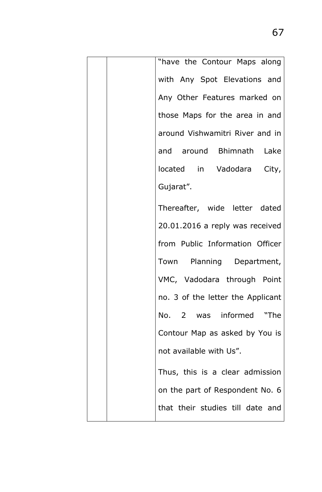| "have the Contour Maps along      |
|-----------------------------------|
| with Any Spot Elevations and      |
| Any Other Features marked on      |
| those Maps for the area in and    |
| around Vishwamitri River and in   |
| and around Bhimnath Lake          |
| located in Vadodara City,         |
| Gujarat".                         |
| Thereafter, wide letter dated     |
| 20.01.2016 a reply was received   |
| from Public Information Officer   |
| Town Planning Department,         |
| VMC, Vadodara through Point       |
| no. 3 of the letter the Applicant |
| No. 2 was informed "The           |
| Contour Map as asked by You is    |
| not available with Us".           |
| Thus, this is a clear admission   |
| on the part of Respondent No. 6   |
| that their studies till date and  |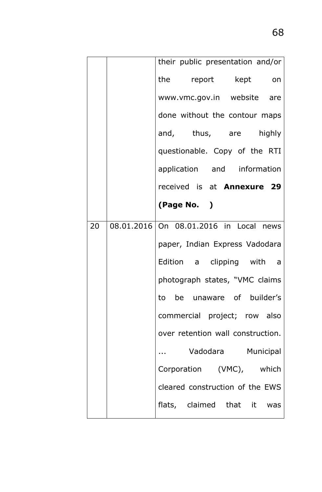|    |                               | their public presentation and/or       |
|----|-------------------------------|----------------------------------------|
|    |                               | the report kept on                     |
|    |                               | www.vmc.gov.in website are             |
|    | done without the contour maps |                                        |
|    |                               | and, thus, are highly                  |
|    | questionable. Copy of the RTI |                                        |
|    |                               | application and information            |
|    |                               | received is at <b>Annexure 29</b>      |
|    |                               | (Page No. )                            |
| 20 |                               | 08.01.2016 On 08.01.2016 in Local news |
|    |                               | paper, Indian Express Vadodara         |
|    |                               | Edition a clipping with a              |
|    |                               | photograph states, "VMC claims         |
|    |                               | to be unaware of builder's             |
|    |                               | commercial project; row also           |
|    |                               | over retention wall construction.      |
|    |                               | Vadodara Municipal                     |
|    |                               | Corporation (VMC), which               |
|    |                               | cleared construction of the EWS        |
|    |                               | flats, claimed that it was             |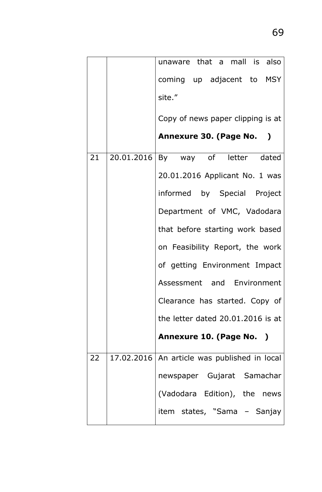|    | unaware that a mall is also                    |
|----|------------------------------------------------|
|    | coming up adjacent to MSY                      |
|    | site."                                         |
|    | Copy of news paper clipping is at              |
|    | Annexure 30. (Page No. )                       |
| 21 | 20.01.2016   By way of letter dated            |
|    | 20.01.2016 Applicant No. 1 was                 |
|    | informed by Special Project                    |
|    | Department of VMC, Vadodara                    |
|    | that before starting work based                |
|    | on Feasibility Report, the work                |
|    | of getting Environment Impact                  |
|    | Assessment and Environment                     |
|    | Clearance has started. Copy of                 |
|    | the letter dated 20.01.2016 is at              |
|    | Annexure 10. (Page No. )                       |
| 22 | 17.02.2016   An article was published in local |
|    | newspaper Gujarat Samachar                     |
|    | (Vadodara Edition), the news                   |
|    | item states, "Sama - Sanjay                    |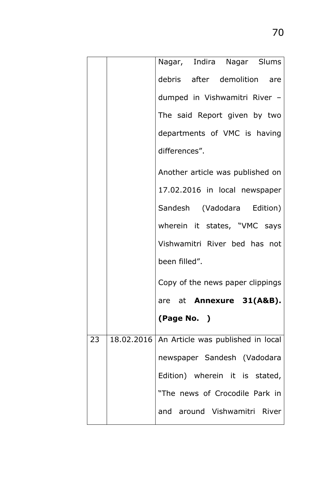|    | Nagar, Indira Nagar Slums                      |
|----|------------------------------------------------|
|    | debris after demolition are                    |
|    | dumped in Vishwamitri River -                  |
|    | The said Report given by two                   |
|    | departments of VMC is having                   |
|    | differences".                                  |
|    | Another article was published on               |
|    | 17.02.2016 in local newspaper                  |
|    | Sandesh (Vadodara Edition)                     |
|    | wherein it states, "VMC says                   |
|    | Vishwamitri River bed has not                  |
|    | been filled".                                  |
|    | Copy of the news paper clippings               |
|    | are at <b>Annexure 31(A&amp;B).</b>            |
|    | (Page No. )                                    |
| 23 | 18.02.2016   An Article was published in local |
|    | newspaper Sandesh (Vadodara                    |
|    | Edition) wherein it is stated,                 |
|    | "The news of Crocodile Park in                 |
|    | and around Vishwamitri River                   |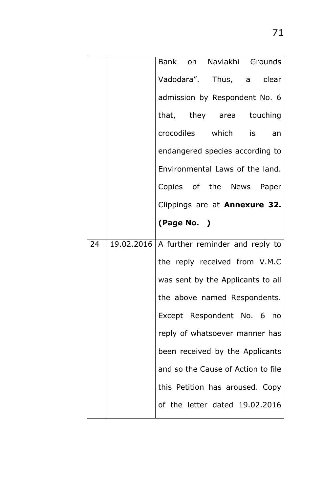|    | Bank on Navlakhi Grounds                     |
|----|----------------------------------------------|
|    | Vadodara". Thus, a clear                     |
|    | admission by Respondent No. 6                |
|    | that, they area touching                     |
|    | crocodiles which is an                       |
|    | endangered species according to              |
|    | Environmental Laws of the land.              |
|    | Copies of the News Paper                     |
|    | Clippings are at <b>Annexure 32.</b>         |
|    | (Page No. )                                  |
| 24 | 19.02.2016   A further reminder and reply to |
|    | the reply received from V.M.C                |
|    | was sent by the Applicants to all            |
|    | the above named Respondents.                 |
|    | Except Respondent No. 6 no                   |
|    | reply of whatsoever manner has               |
|    | been received by the Applicants              |
|    | and so the Cause of Action to file           |
|    | this Petition has aroused. Copy              |
|    | of the letter dated 19.02.2016               |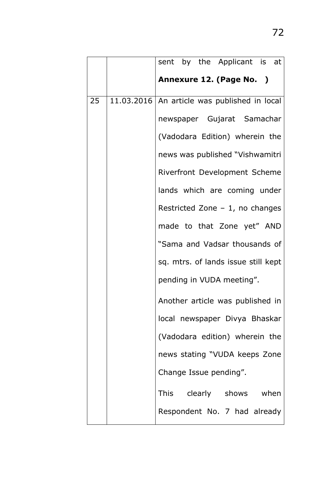|    | sent by the Applicant is at                    |
|----|------------------------------------------------|
|    | Annexure 12. (Page No. )                       |
| 25 | 11.03.2016   An article was published in local |
|    | newspaper Gujarat Samachar                     |
|    | (Vadodara Edition) wherein the                 |
|    | news was published "Vishwamitri                |
|    | Riverfront Development Scheme                  |
|    | lands which are coming under                   |
|    | Restricted Zone $-1$ , no changes              |
|    | made to that Zone yet" AND                     |
|    | "Sama and Vadsar thousands of                  |
|    | sq. mtrs. of lands issue still kept            |
|    | pending in VUDA meeting".                      |
|    | Another article was published in               |
|    | local newspaper Divya Bhaskar                  |
|    | (Vadodara edition) wherein the                 |
|    | news stating "VUDA keeps Zone                  |
|    | Change Issue pending".                         |
|    | This clearly shows when                        |
|    | Respondent No. 7 had already                   |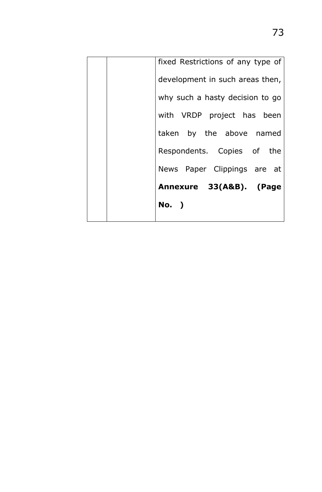|  | fixed Restrictions of any type of |
|--|-----------------------------------|
|  | development in such areas then,   |
|  | why such a hasty decision to go   |
|  | with VRDP project has been        |
|  | taken by the above named          |
|  | Respondents. Copies of the        |
|  | News Paper Clippings are at       |
|  | Annexure 33(A&B). (Page           |
|  | No. )                             |
|  |                                   |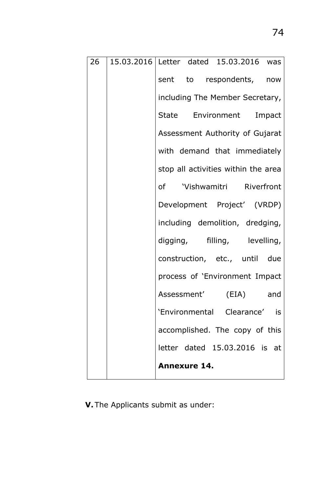| 26 | 15.03.2016 Letter dated 15.03.2016 was |
|----|----------------------------------------|
|    | sent to respondents, now               |
|    | including The Member Secretary,        |
|    | State Environment Impact               |
|    | Assessment Authority of Gujarat        |
|    | with demand that immediately           |
|    | stop all activities within the area    |
|    | of 'Vishwamitri Riverfront             |
|    | Development Project' (VRDP)            |
|    | including demolition, dredging,        |
|    | digging, filling, levelling,           |
|    | construction, etc., until due          |
|    | process of 'Environment Impact         |
|    | Assessment' (EIA)<br>and               |
|    | 'Environmental Clearance' is           |
|    | accomplished. The copy of this         |
|    | letter dated 15.03.2016 is at          |
|    | <b>Annexure 14.</b>                    |

**V.** The Applicants submit as under: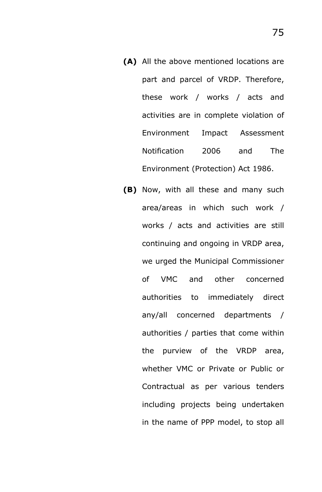- **(A)** All the above mentioned locations are part and parcel of VRDP. Therefore, these work / works / acts and activities are in complete violation of Environment Impact Assessment Notification 2006 and The Environment (Protection) Act 1986.
- **(B)** Now, with all these and many such area/areas in which such work / works / acts and activities are still continuing and ongoing in VRDP area, we urged the Municipal Commissioner of VMC and other concerned authorities to immediately direct any/all concerned departments / authorities / parties that come within the purview of the VRDP area, whether VMC or Private or Public or Contractual as per various tenders including projects being undertaken in the name of PPP model, to stop all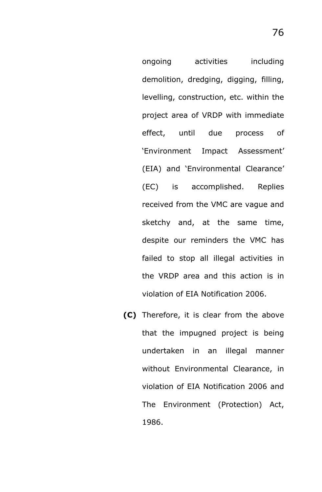ongoing activities including demolition, dredging, digging, filling, levelling, construction, etc. within the project area of VRDP with immediate effect, until due process of 'Environment Impact Assessment' (EIA) and 'Environmental Clearance' (EC) is accomplished. Replies received from the VMC are vague and sketchy and, at the same time, despite our reminders the VMC has failed to stop all illegal activities in the VRDP area and this action is in violation of EIA Notification 2006.

**(C)** Therefore, it is clear from the above that the impugned project is being undertaken in an illegal manner without Environmental Clearance, in violation of EIA Notification 2006 and The Environment (Protection) Act, 1986.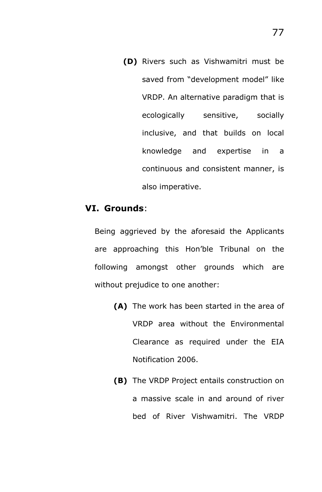**(D)** Rivers such as Vishwamitri must be saved from "development model" like VRDP. An alternative paradigm that is ecologically sensitive, socially inclusive, and that builds on local knowledge and expertise in a continuous and consistent manner, is also imperative.

### **VI. Grounds**:

Being aggrieved by the aforesaid the Applicants are approaching this Hon'ble Tribunal on the following amongst other grounds which are without prejudice to one another:

- **(A)** The work has been started in the area of VRDP area without the Environmental Clearance as required under the EIA Notification 2006.
- **(B)** The VRDP Project entails construction on a massive scale in and around of river bed of River Vishwamitri. The VRDP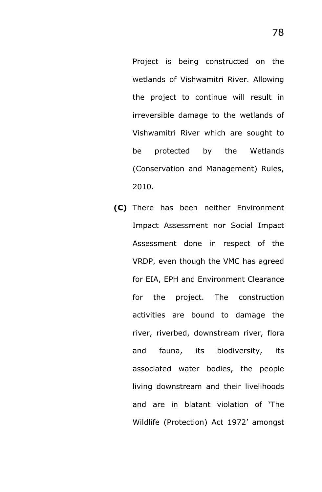Project is being constructed on the wetlands of Vishwamitri River. Allowing the project to continue will result in irreversible damage to the wetlands of Vishwamitri River which are sought to be protected by the Wetlands (Conservation and Management) Rules, 2010.

**(C)** There has been neither Environment Impact Assessment nor Social Impact Assessment done in respect of the VRDP, even though the VMC has agreed for EIA, EPH and Environment Clearance for the project. The construction activities are bound to damage the river, riverbed, downstream river, flora and fauna, its biodiversity, its associated water bodies, the people living downstream and their livelihoods and are in blatant violation of 'The Wildlife (Protection) Act 1972' amongst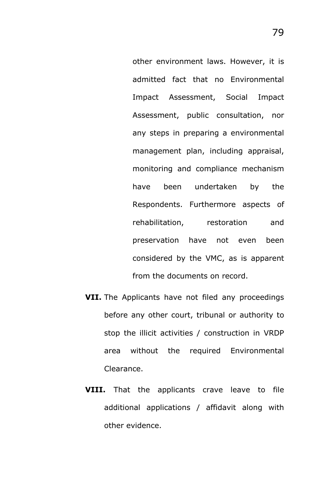other environment laws. However, it is admitted fact that no Environmental Impact Assessment, Social Impact Assessment, public consultation, nor any steps in preparing a environmental management plan, including appraisal, monitoring and compliance mechanism have been undertaken by the Respondents. Furthermore aspects of rehabilitation, restoration and preservation have not even been considered by the VMC, as is apparent from the documents on record.

- **VII.** The Applicants have not filed any proceedings before any other court, tribunal or authority to stop the illicit activities / construction in VRDP area without the required Environmental Clearance.
- **VIII.** That the applicants crave leave to file additional applications / affidavit along with other evidence.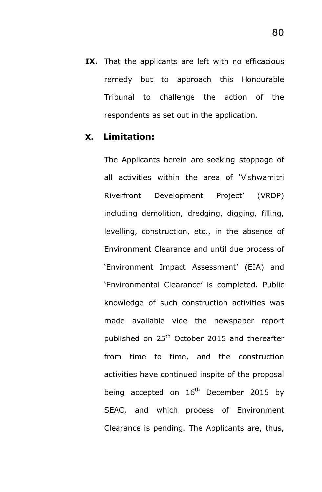**IX.** That the applicants are left with no efficacious remedy but to approach this Honourable Tribunal to challenge the action of the respondents as set out in the application.

## **X. Limitation:**

The Applicants herein are seeking stoppage of all activities within the area of 'Vishwamitri Riverfront Development Project' (VRDP) including demolition, dredging, digging, filling, levelling, construction, etc., in the absence of Environment Clearance and until due process of 'Environment Impact Assessment' (EIA) and 'Environmental Clearance' is completed. Public knowledge of such construction activities was made available vide the newspaper report published on 25<sup>th</sup> October 2015 and thereafter from time to time, and the construction activities have continued inspite of the proposal being accepted on  $16<sup>th</sup>$  December 2015 by SEAC, and which process of Environment Clearance is pending. The Applicants are, thus,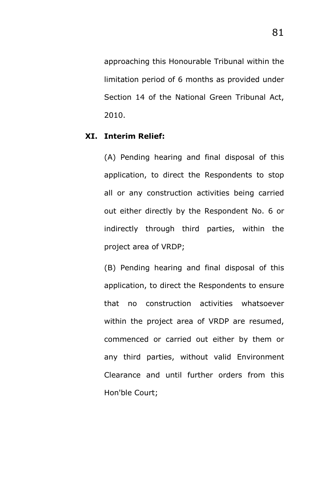approaching this Honourable Tribunal within the limitation period of 6 months as provided under Section 14 of the National Green Tribunal Act, 2010.

#### **XI. Interim Relief:**

(A) Pending hearing and final disposal of this application, to direct the Respondents to stop all or any construction activities being carried out either directly by the Respondent No. 6 or indirectly through third parties, within the project area of VRDP;

(B) Pending hearing and final disposal of this application, to direct the Respondents to ensure that no construction activities whatsoever within the project area of VRDP are resumed, commenced or carried out either by them or any third parties, without valid Environment Clearance and until further orders from this Hon'ble Court;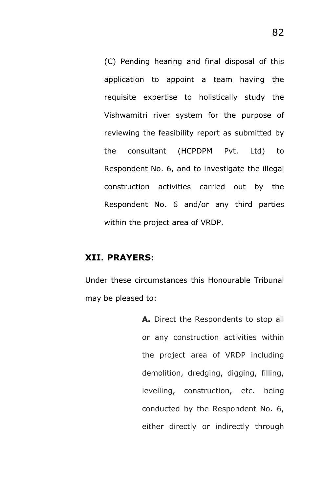(C) Pending hearing and final disposal of this application to appoint a team having the requisite expertise to holistically study the Vishwamitri river system for the purpose of reviewing the feasibility report as submitted by the consultant (HCPDPM Pvt. Ltd) to Respondent No. 6, and to investigate the illegal construction activities carried out by the Respondent No. 6 and/or any third parties within the project area of VRDP.

## **XII. PRAYERS:**

Under these circumstances this Honourable Tribunal may be pleased to:

> **A.** Direct the Respondents to stop all or any construction activities within the project area of VRDP including demolition, dredging, digging, filling, levelling, construction, etc. being conducted by the Respondent No. 6, either directly or indirectly through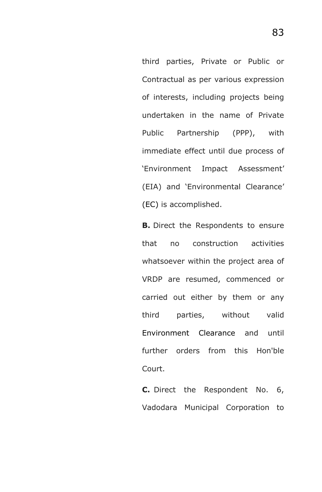third parties, Private or Public or Contractual as per various expression of interests, including projects being undertaken in the name of Private Public Partnership (PPP), with immediate effect until due process of 'Environment Impact Assessment' (EIA) and 'Environmental Clearance' (EC) is accomplished.

**B.** Direct the Respondents to ensure that no construction activities whatsoever within the project area of VRDP are resumed, commenced or carried out either by them or any third parties, without valid Environment Clearance and until further orders from this Hon'ble Court.

**C.** Direct the Respondent No. 6, Vadodara Municipal Corporation to

83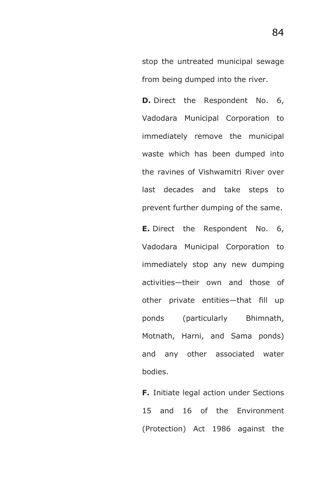stop the untreated municipal sewage from being dumped into the river.

**D.** Direct the Respondent No. 6, Vadodara Municipal Corporation to immediately remove the municipal waste which has been dumped into the ravines of Vishwamitri River over last decades and take steps to prevent further dumping of the same.

**E.** Direct the Respondent No. 6, Vadodara Municipal Corporation to immediately stop any new dumping activities—their own and those of other private entities—that fill up ponds (particularly Bhimnath, Motnath, Harni, and Sama ponds) and any other associated water bodies.

**F.** Initiate legal action under Sections 15 and 16 of the Environment (Protection) Act 1986 against the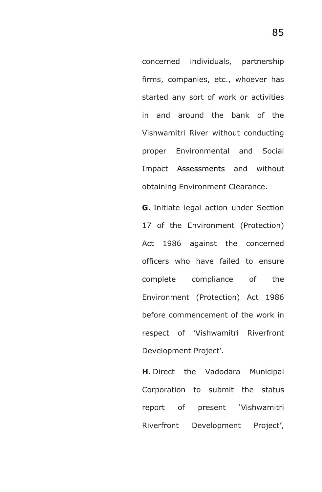concerned individuals, partnership firms, companies, etc., whoever has started any sort of work or activities in and around the bank of the Vishwamitri River without conducting proper Environmental and Social Impact Assessments and without obtaining Environment Clearance.

**G.** Initiate legal action under Section 17 of the Environment (Protection) Act 1986 against the concerned officers who have failed to ensure complete compliance of the Environment (Protection) Act 1986 before commencement of the work in respect of 'Vishwamitri Riverfront Development Project'.

**H.** Direct the Vadodara Municipal Corporation to submit the status report of present 'Vishwamitri Riverfront Development Project',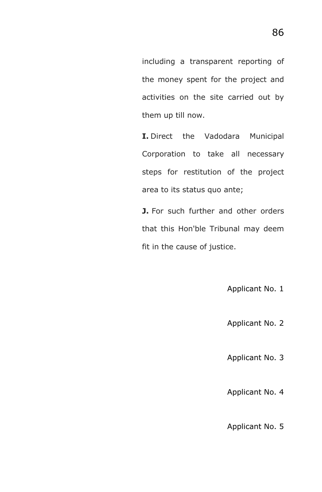including a transparent reporting of the money spent for the project and activities on the site carried out by them up till now.

**I.** Direct the Vadodara Municipal Corporation to take all necessary steps for restitution of the project area to its status quo ante;

**J.** For such further and other orders that this Hon'ble Tribunal may deem fit in the cause of justice.

Applicant No. 1

Applicant No. 2

Applicant No. 3

Applicant No. 4

Applicant No. 5